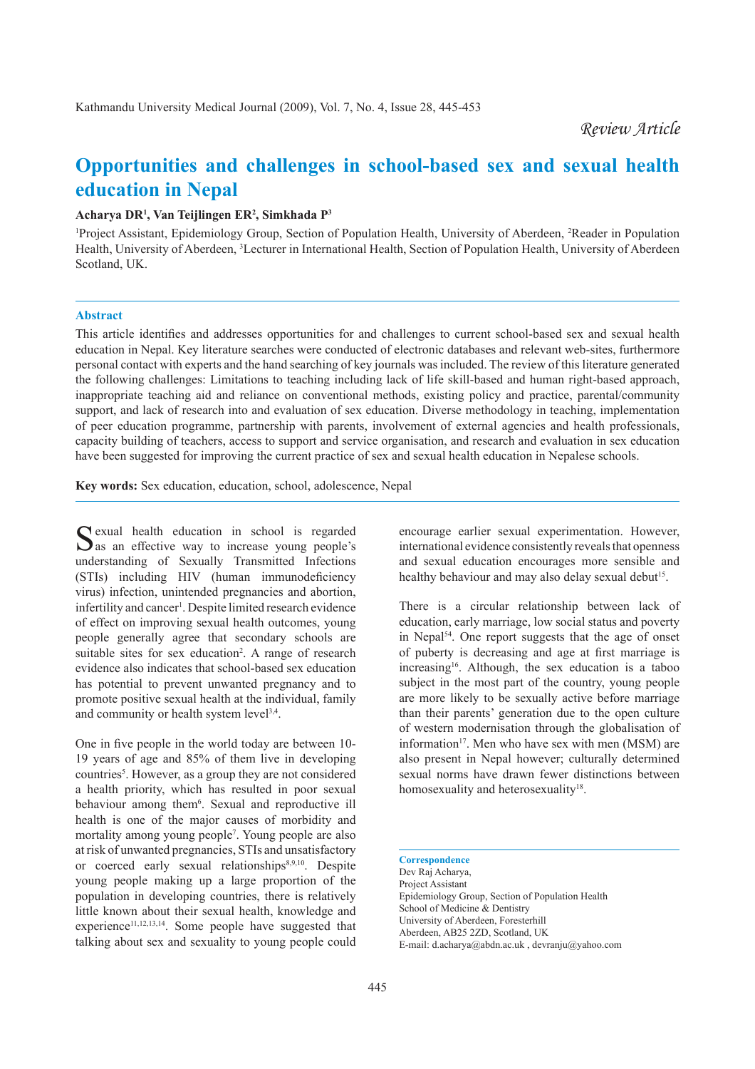# **Opportunities and challenges in school-based sex and sexual health education in Nepal**

#### **Acharya DR1 , Van Teijlingen ER2 , Simkhada P3**

<sup>1</sup>Project Assistant, Epidemiology Group, Section of Population Health, University of Aberdeen, <sup>2</sup>Reader in Population Health, University of Aberdeen, <sup>3</sup> Lecturer in International Health, Section of Population Health, University of Aberdeen Scotland, UK.

# **Abstract**

This article identifies and addresses opportunities for and challenges to current school-based sex and sexual health education in Nepal. Key literature searches were conducted of electronic databases and relevant web-sites, furthermore personal contact with experts and the hand searching of key journals was included. The review of this literature generated the following challenges: Limitations to teaching including lack of life skill-based and human right-based approach, inappropriate teaching aid and reliance on conventional methods, existing policy and practice, parental/community support, and lack of research into and evaluation of sex education. Diverse methodology in teaching, implementation of peer education programme, partnership with parents, involvement of external agencies and health professionals, capacity building of teachers, access to support and service organisation, and research and evaluation in sex education have been suggested for improving the current practice of sex and sexual health education in Nepalese schools.

**Key words:** Sex education, education, school, adolescence, Nepal

Sexual health education in school is regarded  $\sum$  as an effective way to increase young people's understanding of Sexually Transmitted Infections (STIs) including HIV (human immunodeficiency virus) infection, unintended pregnancies and abortion, infertility and cancer<sup>1</sup>. Despite limited research evidence of effect on improving sexual health outcomes, young people generally agree that secondary schools are suitable sites for sex education<sup>2</sup>. A range of research evidence also indicates that school-based sex education has potential to prevent unwanted pregnancy and to promote positive sexual health at the individual, family and community or health system level<sup>3,4</sup>.

One in five people in the world today are between 10-19 years of age and 85% of them live in developing countries<sup>5</sup>. However, as a group they are not considered a health priority, which has resulted in poor sexual behaviour among them<sup>6</sup>. Sexual and reproductive ill health is one of the major causes of morbidity and mortality among young people<sup>7</sup>. Young people are also at risk of unwanted pregnancies, STIs and unsatisfactory or coerced early sexual relationships<sup>8,9,10</sup>. Despite young people making up a large proportion of the population in developing countries, there is relatively little known about their sexual health, knowledge and experience<sup>11,12,13,14</sup>. Some people have suggested that talking about sex and sexuality to young people could

encourage earlier sexual experimentation. However, international evidence consistently reveals that openness and sexual education encourages more sensible and healthy behaviour and may also delay sexual debut<sup>15</sup>.

There is a circular relationship between lack of education, early marriage, low social status and poverty in Nepal54. One report suggests that the age of onset of puberty is decreasing and age at first marriage is increasing<sup>16</sup>. Although, the sex education is a taboo subject in the most part of the country, young people are more likely to be sexually active before marriage than their parents' generation due to the open culture of western modernisation through the globalisation of information<sup>17</sup>. Men who have sex with men  $(MSM)$  are also present in Nepal however; culturally determined sexual norms have drawn fewer distinctions between homosexuality and heterosexuality<sup>18</sup>.

Dev Raj Acharya, Project Assistant Epidemiology Group, Section of Population Health School of Medicine & Dentistry University of Aberdeen, Foresterhill Aberdeen, AB25 2ZD, Scotland, UK E-mail: d.acharya@abdn.ac.uk , devranju@yahoo.com

**Correspondence**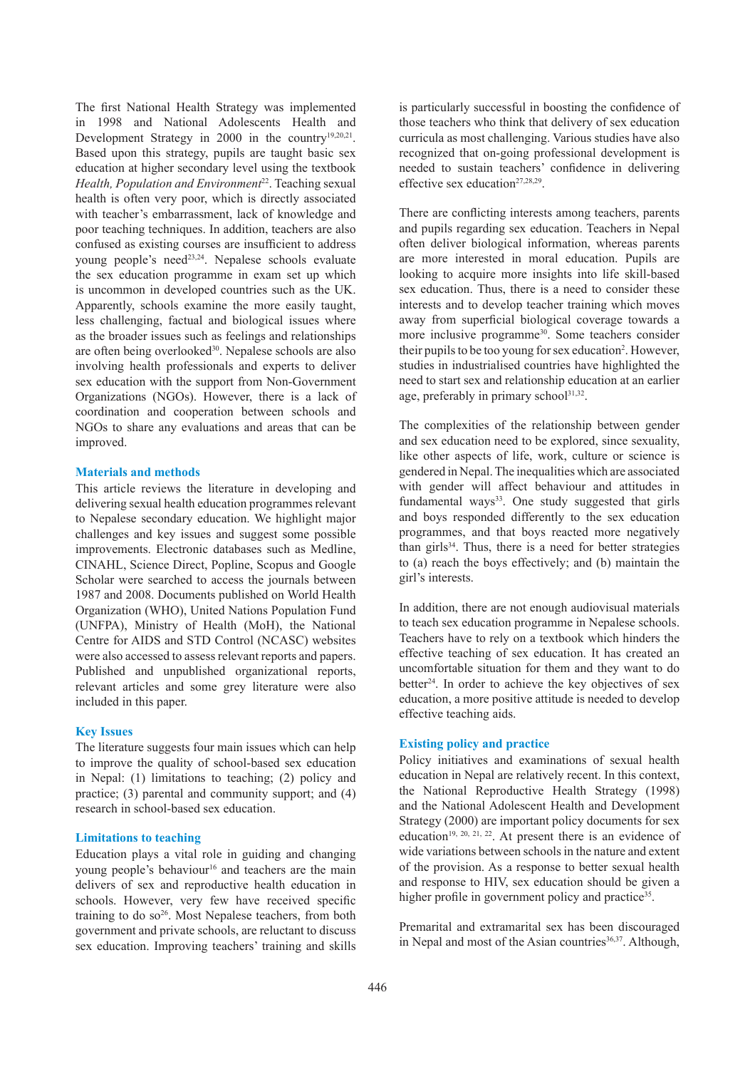The first National Health Strategy was implemented in 1998 and National Adolescents Health and Development Strategy in 2000 in the country<sup>19,20,21</sup>. Based upon this strategy, pupils are taught basic sex education at higher secondary level using the textbook *Health, Population and Environment*<sup>22</sup>. Teaching sexual health is often very poor, which is directly associated with teacher's embarrassment, lack of knowledge and poor teaching techniques. In addition, teachers are also confused as existing courses are insufficient to address young people's need<sup>23,24</sup>. Nepalese schools evaluate the sex education programme in exam set up which is uncommon in developed countries such as the UK. Apparently, schools examine the more easily taught, less challenging, factual and biological issues where as the broader issues such as feelings and relationships are often being overlooked<sup>30</sup>. Nepalese schools are also involving health professionals and experts to deliver sex education with the support from Non-Government Organizations (NGOs). However, there is a lack of coordination and cooperation between schools and NGOs to share any evaluations and areas that can be improved.

## **Materials and methods**

This article reviews the literature in developing and delivering sexual health education programmes relevant to Nepalese secondary education. We highlight major challenges and key issues and suggest some possible improvements. Electronic databases such as Medline, CINAHL, Science Direct, Popline, Scopus and Google Scholar were searched to access the journals between 1987 and 2008. Documents published on World Health Organization (WHO), United Nations Population Fund (UNFPA), Ministry of Health (MoH), the National Centre for AIDS and STD Control (NCASC) websites were also accessed to assess relevant reports and papers. Published and unpublished organizational reports, relevant articles and some grey literature were also included in this paper.

# **Key Issues**

The literature suggests four main issues which can help to improve the quality of school-based sex education in Nepal: (1) limitations to teaching; (2) policy and practice; (3) parental and community support; and (4) research in school-based sex education.

# **Limitations to teaching**

Education plays a vital role in guiding and changing young people's behaviour<sup>16</sup> and teachers are the main delivers of sex and reproductive health education in schools. However, very few have received specific training to do  $so<sup>26</sup>$ . Most Nepalese teachers, from both government and private schools, are reluctant to discuss sex education. Improving teachers' training and skills is particularly successful in boosting the confidence of those teachers who think that delivery of sex education curricula as most challenging. Various studies have also recognized that on-going professional development is needed to sustain teachers' confidence in delivering effective sex education<sup>27,28,29</sup>.

There are conflicting interests among teachers, parents and pupils regarding sex education. Teachers in Nepal often deliver biological information, whereas parents are more interested in moral education. Pupils are looking to acquire more insights into life skill-based sex education. Thus, there is a need to consider these interests and to develop teacher training which moves away from superficial biological coverage towards a more inclusive programme<sup>30</sup>. Some teachers consider their pupils to be too young for sex education<sup>2</sup>. However, studies in industrialised countries have highlighted the need to start sex and relationship education at an earlier age, preferably in primary school $31,32$ .

The complexities of the relationship between gender and sex education need to be explored, since sexuality, like other aspects of life, work, culture or science is gendered in Nepal. The inequalities which are associated with gender will affect behaviour and attitudes in fundamental ways<sup>33</sup>. One study suggested that girls and boys responded differently to the sex education programmes, and that boys reacted more negatively than girls $34$ . Thus, there is a need for better strategies to (a) reach the boys effectively; and (b) maintain the girl's interests.

In addition, there are not enough audiovisual materials to teach sex education programme in Nepalese schools. Teachers have to rely on a textbook which hinders the effective teaching of sex education. It has created an uncomfortable situation for them and they want to do better<sup>24</sup>. In order to achieve the key objectives of sex education, a more positive attitude is needed to develop effective teaching aids.

# **Existing policy and practice**

Policy initiatives and examinations of sexual health education in Nepal are relatively recent. In this context, the National Reproductive Health Strategy (1998) and the National Adolescent Health and Development Strategy (2000) are important policy documents for sex education<sup>19, 20, 21, 22</sup>. At present there is an evidence of wide variations between schools in the nature and extent of the provision. As a response to better sexual health and response to HIV, sex education should be given a higher profile in government policy and practice<sup>35</sup>.

Premarital and extramarital sex has been discouraged in Nepal and most of the Asian countries<sup>36,37</sup>. Although,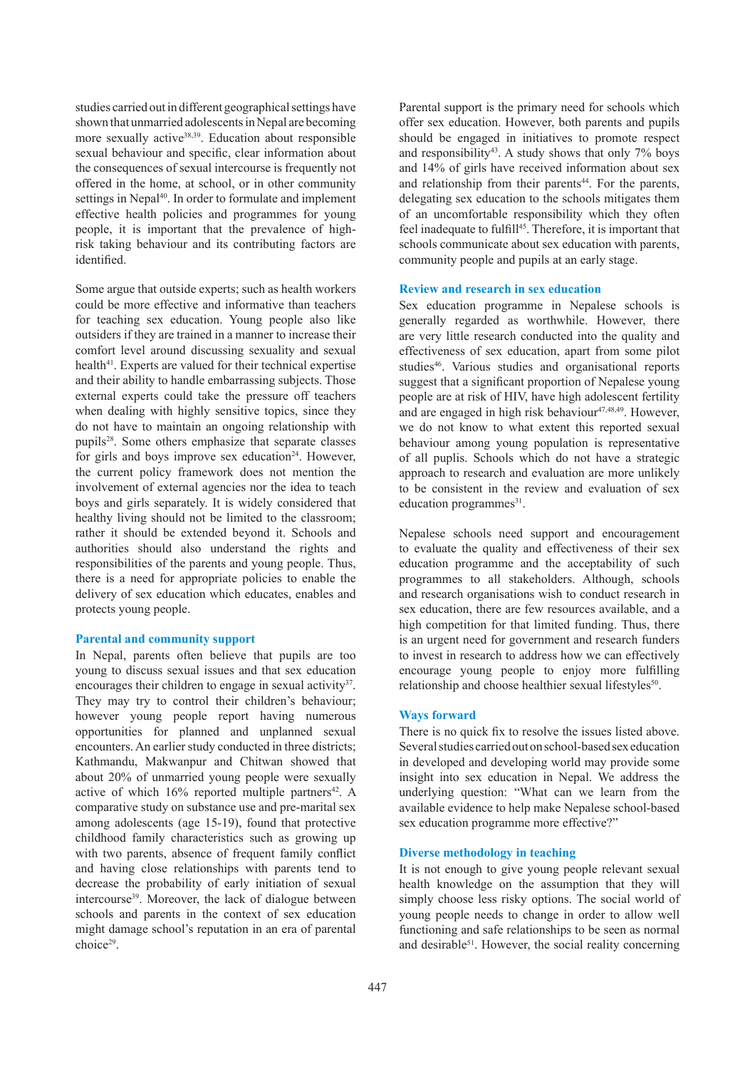studies carried out in different geographical settings have shown that unmarried adolescents in Nepal are becoming more sexually active<sup>38,39</sup>. Education about responsible sexual behaviour and specific, clear information about the consequences of sexual intercourse is frequently not offered in the home, at school, or in other community settings in Nepal<sup>40</sup>. In order to formulate and implement effective health policies and programmes for young people, it is important that the prevalence of highrisk taking behaviour and its contributing factors are identified.

Some argue that outside experts; such as health workers could be more effective and informative than teachers for teaching sex education. Young people also like outsiders if they are trained in a manner to increase their comfort level around discussing sexuality and sexual health<sup>41</sup>. Experts are valued for their technical expertise and their ability to handle embarrassing subjects. Those external experts could take the pressure off teachers when dealing with highly sensitive topics, since they do not have to maintain an ongoing relationship with pupils28. Some others emphasize that separate classes for girls and boys improve sex education $24$ . However, the current policy framework does not mention the involvement of external agencies nor the idea to teach boys and girls separately. It is widely considered that healthy living should not be limited to the classroom; rather it should be extended beyond it. Schools and authorities should also understand the rights and responsibilities of the parents and young people. Thus, there is a need for appropriate policies to enable the delivery of sex education which educates, enables and protects young people.

# **Parental and community support**

In Nepal, parents often believe that pupils are too young to discuss sexual issues and that sex education encourages their children to engage in sexual activity<sup>37</sup>. They may try to control their children's behaviour; however young people report having numerous opportunities for planned and unplanned sexual encounters. An earlier study conducted in three districts; Kathmandu, Makwanpur and Chitwan showed that about 20% of unmarried young people were sexually active of which  $16\%$  reported multiple partners<sup>42</sup>. A comparative study on substance use and pre-marital sex among adolescents (age 15-19), found that protective childhood family characteristics such as growing up with two parents, absence of frequent family conflict and having close relationships with parents tend to decrease the probability of early initiation of sexual intercourse<sup>39</sup>. Moreover, the lack of dialogue between schools and parents in the context of sex education might damage school's reputation in an era of parental choice<sup>29</sup>.

Parental support is the primary need for schools which offer sex education. However, both parents and pupils should be engaged in initiatives to promote respect and responsibility<sup>43</sup>. A study shows that only  $7\%$  boys and 14% of girls have received information about sex and relationship from their parents<sup>44</sup>. For the parents, delegating sex education to the schools mitigates them of an uncomfortable responsibility which they often feel inadequate to fulfill<sup>45</sup>. Therefore, it is important that schools communicate about sex education with parents, community people and pupils at an early stage.

#### **Review and research in sex education**

Sex education programme in Nepalese schools is generally regarded as worthwhile. However, there are very little research conducted into the quality and effectiveness of sex education, apart from some pilot studies<sup>46</sup>. Various studies and organisational reports suggest that a significant proportion of Nepalese young people are at risk of HIV, have high adolescent fertility and are engaged in high risk behaviour $47,48,49$ . However, we do not know to what extent this reported sexual behaviour among young population is representative of all puplis. Schools which do not have a strategic approach to research and evaluation are more unlikely to be consistent in the review and evaluation of sex education programmes<sup>31</sup>.

Nepalese schools need support and encouragement to evaluate the quality and effectiveness of their sex education programme and the acceptability of such programmes to all stakeholders. Although, schools and research organisations wish to conduct research in sex education, there are few resources available, and a high competition for that limited funding. Thus, there is an urgent need for government and research funders to invest in research to address how we can effectively encourage young people to enjoy more fulfilling relationship and choose healthier sexual lifestyles<sup>50</sup>.

#### **Ways forward**

There is no quick fix to resolve the issues listed above. Several studies carried out on school-based sex education in developed and developing world may provide some insight into sex education in Nepal. We address the underlying question: "What can we learn from the available evidence to help make Nepalese school-based sex education programme more effective?"

## **Diverse methodology in teaching**

It is not enough to give young people relevant sexual health knowledge on the assumption that they will simply choose less risky options. The social world of young people needs to change in order to allow well functioning and safe relationships to be seen as normal and desirable<sup>51</sup>. However, the social reality concerning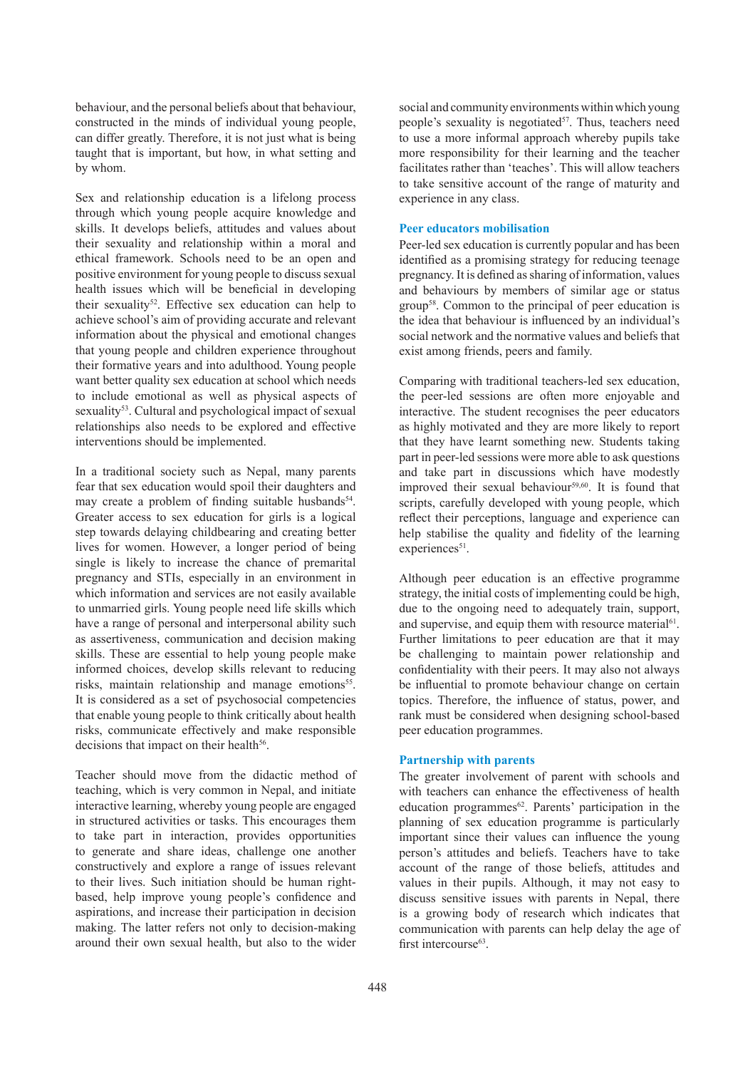behaviour, and the personal beliefs about that behaviour, constructed in the minds of individual young people, can differ greatly. Therefore, it is not just what is being taught that is important, but how, in what setting and by whom.

Sex and relationship education is a lifelong process through which young people acquire knowledge and skills. It develops beliefs, attitudes and values about their sexuality and relationship within a moral and ethical framework. Schools need to be an open and positive environment for young people to discuss sexual health issues which will be beneficial in developing their sexuality<sup>52</sup>. Effective sex education can help to achieve school's aim of providing accurate and relevant information about the physical and emotional changes that young people and children experience throughout their formative years and into adulthood. Young people want better quality sex education at school which needs to include emotional as well as physical aspects of sexuality<sup>53</sup>. Cultural and psychological impact of sexual relationships also needs to be explored and effective interventions should be implemented.

In a traditional society such as Nepal, many parents fear that sex education would spoil their daughters and may create a problem of finding suitable husbands<sup>54</sup>. Greater access to sex education for girls is a logical step towards delaying childbearing and creating better lives for women. However, a longer period of being single is likely to increase the chance of premarital pregnancy and STIs, especially in an environment in which information and services are not easily available to unmarried girls. Young people need life skills which have a range of personal and interpersonal ability such as assertiveness, communication and decision making skills. These are essential to help young people make informed choices, develop skills relevant to reducing risks, maintain relationship and manage emotions<sup>55</sup>. It is considered as a set of psychosocial competencies that enable young people to think critically about health risks, communicate effectively and make responsible decisions that impact on their health<sup>56</sup>.

Teacher should move from the didactic method of teaching, which is very common in Nepal, and initiate interactive learning, whereby young people are engaged in structured activities or tasks. This encourages them to take part in interaction, provides opportunities to generate and share ideas, challenge one another constructively and explore a range of issues relevant to their lives. Such initiation should be human rightbased, help improve young people's confidence and aspirations, and increase their participation in decision making. The latter refers not only to decision-making around their own sexual health, but also to the wider

social and community environments within which young people's sexuality is negotiated $57$ . Thus, teachers need to use a more informal approach whereby pupils take more responsibility for their learning and the teacher facilitates rather than 'teaches'. This will allow teachers to take sensitive account of the range of maturity and experience in any class.

# **Peer educators mobilisation**

Peer-led sex education is currently popular and has been identified as a promising strategy for reducing teenage pregnancy. It is defined as sharing of information, values and behaviours by members of similar age or status group58. Common to the principal of peer education is the idea that behaviour is influenced by an individual's social network and the normative values and beliefs that exist among friends, peers and family.

Comparing with traditional teachers-led sex education, the peer-led sessions are often more enjoyable and interactive. The student recognises the peer educators as highly motivated and they are more likely to report that they have learnt something new. Students taking part in peer-led sessions were more able to ask questions and take part in discussions which have modestly improved their sexual behaviour<sup>59,60</sup>. It is found that scripts, carefully developed with young people, which reflect their perceptions, language and experience can help stabilise the quality and fidelity of the learning experiences<sup>51</sup>.

Although peer education is an effective programme strategy, the initial costs of implementing could be high, due to the ongoing need to adequately train, support, and supervise, and equip them with resource material $61$ . Further limitations to peer education are that it may be challenging to maintain power relationship and confidentiality with their peers. It may also not always be influential to promote behaviour change on certain topics. Therefore, the influence of status, power, and rank must be considered when designing school-based peer education programmes.

## **Partnership with parents**

The greater involvement of parent with schools and with teachers can enhance the effectiveness of health education programmes $62$ . Parents' participation in the planning of sex education programme is particularly important since their values can influence the young person's attitudes and beliefs. Teachers have to take account of the range of those beliefs, attitudes and values in their pupils. Although, it may not easy to discuss sensitive issues with parents in Nepal, there is a growing body of research which indicates that communication with parents can help delay the age of first intercourse $63$ .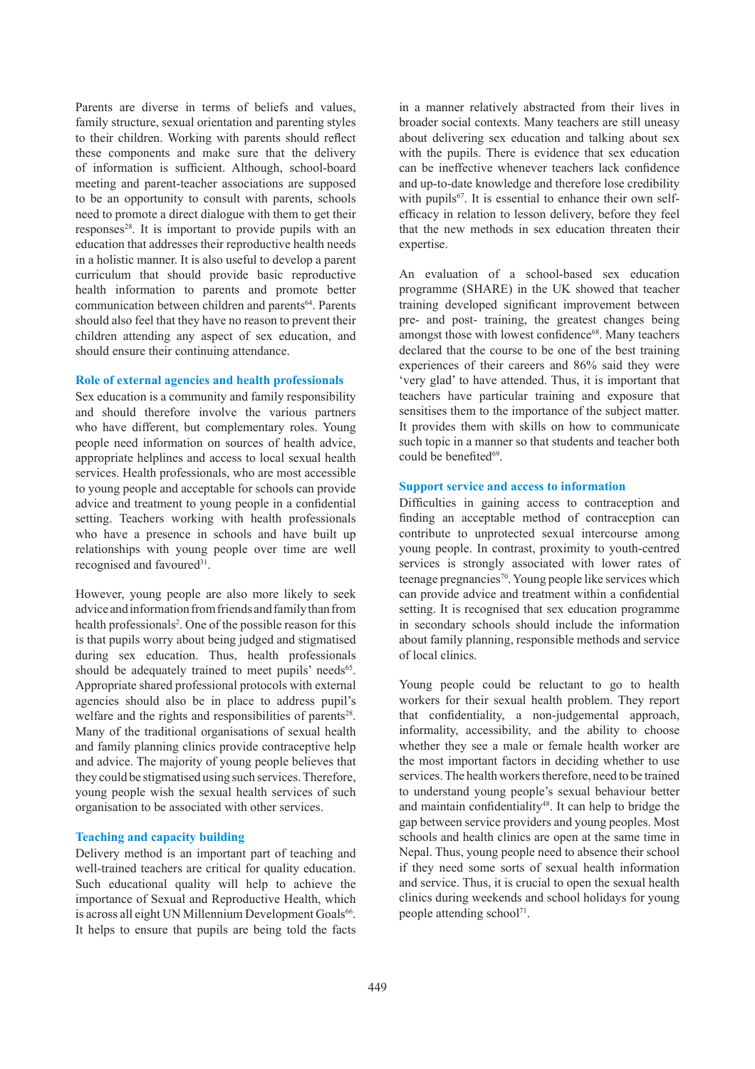Parents are diverse in terms of beliefs and values, family structure, sexual orientation and parenting styles to their children. Working with parents should reflect these components and make sure that the delivery of information is sufficient. Although, school-board meeting and parent-teacher associations are supposed to be an opportunity to consult with parents, schools need to promote a direct dialogue with them to get their  $responents^{28}$ . It is important to provide pupils with an education that addresses their reproductive health needs in a holistic manner. It is also useful to develop a parent curriculum that should provide basic reproductive health information to parents and promote better communication between children and parents<sup>64</sup>. Parents should also feel that they have no reason to prevent their children attending any aspect of sex education, and should ensure their continuing attendance.

#### **Role of external agencies and health professionals**

Sex education is a community and family responsibility and should therefore involve the various partners who have different, but complementary roles. Young people need information on sources of health advice, appropriate helplines and access to local sexual health services. Health professionals, who are most accessible to young people and acceptable for schools can provide advice and treatment to young people in a confidential setting. Teachers working with health professionals who have a presence in schools and have built up relationships with young people over time are well recognised and favoured<sup>31</sup>.

However, young people are also more likely to seek advice and information from friends and family than from health professionals<sup>2</sup>. One of the possible reason for this is that pupils worry about being judged and stigmatised during sex education. Thus, health professionals should be adequately trained to meet pupils' needs<sup>65</sup>. Appropriate shared professional protocols with external agencies should also be in place to address pupil's welfare and the rights and responsibilities of parents<sup>28</sup>. Many of the traditional organisations of sexual health and family planning clinics provide contraceptive help and advice. The majority of young people believes that they could be stigmatised using such services. Therefore, young people wish the sexual health services of such organisation to be associated with other services.

#### **Teaching and capacity building**

Delivery method is an important part of teaching and well-trained teachers are critical for quality education. Such educational quality will help to achieve the importance of Sexual and Reproductive Health, which is across all eight UN Millennium Development Goals<sup>66</sup>. It helps to ensure that pupils are being told the facts

in a manner relatively abstracted from their lives in broader social contexts. Many teachers are still uneasy about delivering sex education and talking about sex with the pupils. There is evidence that sex education can be ineffective whenever teachers lack confidence and up-to-date knowledge and therefore lose credibility with pupils<sup>67</sup>. It is essential to enhance their own selfefficacy in relation to lesson delivery, before they feel that the new methods in sex education threaten their expertise.

An evaluation of a school-based sex education programme (SHARE) in the UK showed that teacher training developed significant improvement between pre- and post- training, the greatest changes being amongst those with lowest confidence<sup>68</sup>. Many teachers declared that the course to be one of the best training experiences of their careers and 86% said they were 'very glad' to have attended. Thus, it is important that teachers have particular training and exposure that sensitises them to the importance of the subject matter. It provides them with skills on how to communicate such topic in a manner so that students and teacher both could be benefited $69$ .

#### **Support service and access to information**

Difficulties in gaining access to contraception and finding an acceptable method of contraception can contribute to unprotected sexual intercourse among young people. In contrast, proximity to youth-centred services is strongly associated with lower rates of teenage pregnancies<sup>70</sup>. Young people like services which can provide advice and treatment within a confidential setting. It is recognised that sex education programme in secondary schools should include the information about family planning, responsible methods and service of local clinics.

Young people could be reluctant to go to health workers for their sexual health problem. They report that confidentiality, a non-judgemental approach, informality, accessibility, and the ability to choose whether they see a male or female health worker are the most important factors in deciding whether to use services. The health workers therefore, need to be trained to understand young people's sexual behaviour better and maintain confidentiality $48$ . It can help to bridge the gap between service providers and young peoples. Most schools and health clinics are open at the same time in Nepal. Thus, young people need to absence their school if they need some sorts of sexual health information and service. Thus, it is crucial to open the sexual health clinics during weekends and school holidays for young people attending school<sup>71</sup>.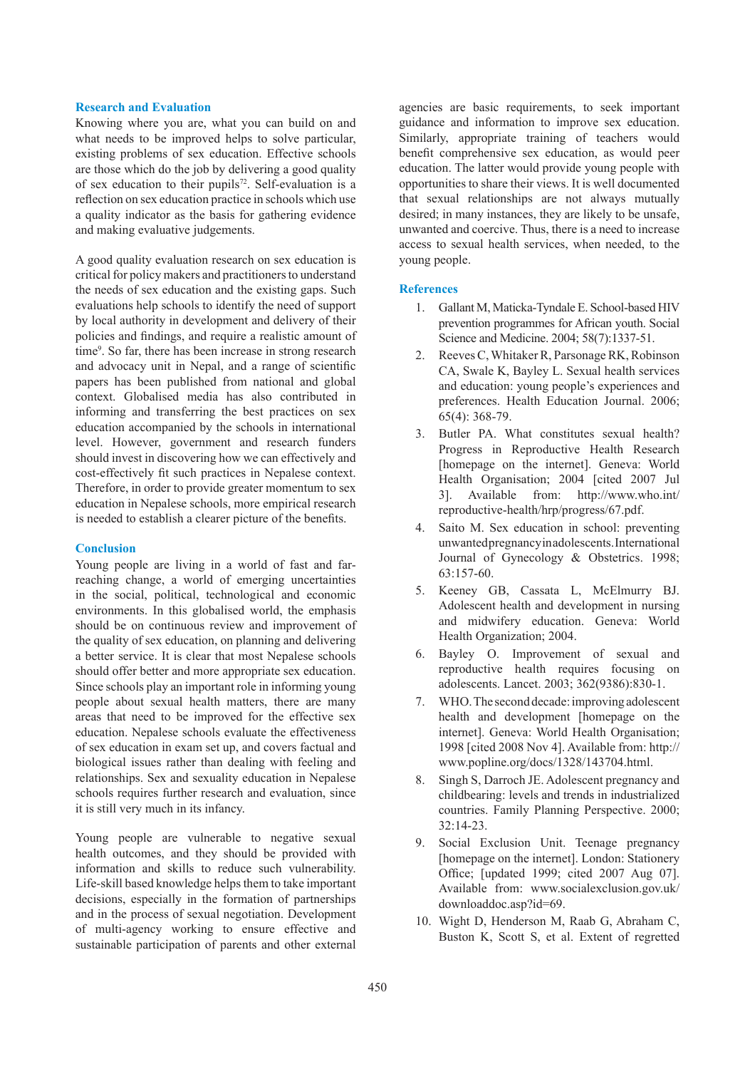#### **Research and Evaluation**

Knowing where you are, what you can build on and what needs to be improved helps to solve particular, existing problems of sex education. Effective schools are those which do the job by delivering a good quality of sex education to their pupils<sup>72</sup>. Self-evaluation is a reflection on sex education practice in schools which use a quality indicator as the basis for gathering evidence and making evaluative judgements.

A good quality evaluation research on sex education is critical for policy makers and practitioners to understand the needs of sex education and the existing gaps. Such evaluations help schools to identify the need of support by local authority in development and delivery of their policies and findings, and require a realistic amount of time<sup>9</sup>. So far, there has been increase in strong research and advocacy unit in Nepal, and a range of scientific papers has been published from national and global context. Globalised media has also contributed in informing and transferring the best practices on sex education accompanied by the schools in international level. However, government and research funders should invest in discovering how we can effectively and cost-effectively fit such practices in Nepalese context. Therefore, in order to provide greater momentum to sex education in Nepalese schools, more empirical research is needed to establish a clearer picture of the benefits.

# **Conclusion**

Young people are living in a world of fast and farreaching change, a world of emerging uncertainties in the social, political, technological and economic environments. In this globalised world, the emphasis should be on continuous review and improvement of the quality of sex education, on planning and delivering a better service. It is clear that most Nepalese schools should offer better and more appropriate sex education. Since schools play an important role in informing young people about sexual health matters, there are many areas that need to be improved for the effective sex education. Nepalese schools evaluate the effectiveness of sex education in exam set up, and covers factual and biological issues rather than dealing with feeling and relationships. Sex and sexuality education in Nepalese schools requires further research and evaluation, since it is still very much in its infancy.

Young people are vulnerable to negative sexual health outcomes, and they should be provided with information and skills to reduce such vulnerability. Life-skill based knowledge helps them to take important decisions, especially in the formation of partnerships and in the process of sexual negotiation. Development of multi-agency working to ensure effective and sustainable participation of parents and other external agencies are basic requirements, to seek important guidance and information to improve sex education. Similarly, appropriate training of teachers would benefit comprehensive sex education, as would peer education. The latter would provide young people with opportunities to share their views. It is well documented that sexual relationships are not always mutually desired; in many instances, they are likely to be unsafe, unwanted and coercive. Thus, there is a need to increase access to sexual health services, when needed, to the young people.

## **References**

- 1. Gallant M, Maticka-Tyndale E. School-based HIV prevention programmes for African youth. Social Science and Medicine. 2004; 58(7):1337-51.
- 2. Reeves C, Whitaker R, Parsonage RK, Robinson CA, Swale K, Bayley L. Sexual health services and education: young people's experiences and preferences. Health Education Journal. 2006; 65(4): 368-79.
- 3. Butler PA. What constitutes sexual health? Progress in Reproductive Health Research [homepage on the internet]. Geneva: World Health Organisation; 2004 [cited 2007 Jul 3]. Available from: http://www.who.int/ reproductive-health/hrp/progress/67.pdf.
- 4. Saito M. Sex education in school: preventing unwanted pregnancy in adolescents. International Journal of Gynecology & Obstetrics. 1998; 63:157-60.
- 5. Keeney GB, Cassata L, McElmurry BJ. Adolescent health and development in nursing and midwifery education. Geneva: World Health Organization; 2004.
- 6. Bayley O. Improvement of sexual and reproductive health requires focusing on adolescents. Lancet. 2003; 362(9386):830-1.
- 7. WHO. The second decade: improving adolescent health and development [homepage on the internet]. Geneva: World Health Organisation; 1998 [cited 2008 Nov 4]. Available from: http:// www.popline.org/docs/1328/143704.html.
- 8. Singh S, Darroch JE. Adolescent pregnancy and childbearing: levels and trends in industrialized countries. Family Planning Perspective. 2000; 32:14-23.
- 9. Social Exclusion Unit. Teenage pregnancy [homepage on the internet]. London: Stationery Office; [updated 1999; cited 2007 Aug 07]. Available from: www.socialexclusion.gov.uk/ downloaddoc.asp?id=69.
- 10. Wight D, Henderson M, Raab G, Abraham C, Buston K, Scott S, et al. Extent of regretted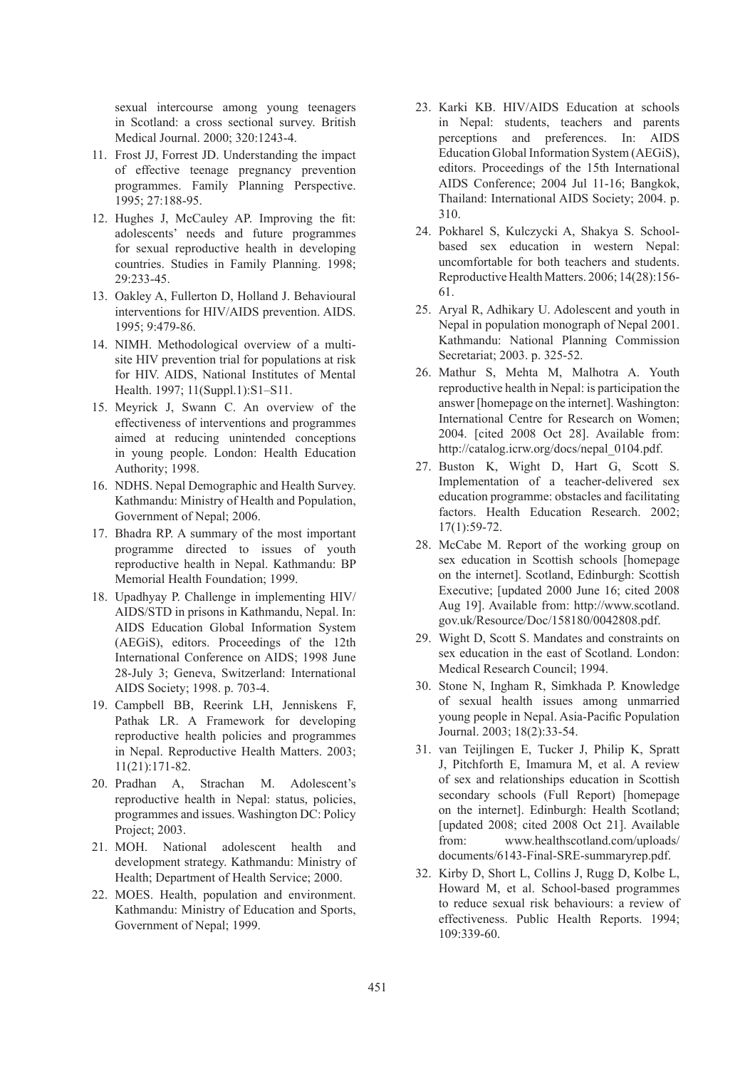sexual intercourse among young teenagers in Scotland: a cross sectional survey. British Medical Journal. 2000; 320:1243-4.

- 11. Frost JJ, Forrest JD. Understanding the impact of effective teenage pregnancy prevention programmes. Family Planning Perspective. 1995; 27:188-95.
- 12. Hughes J, McCauley AP. Improving the fit: adolescents' needs and future programmes for sexual reproductive health in developing countries. Studies in Family Planning. 1998; 29:233-45.
- 13. Oakley A, Fullerton D, Holland J. Behavioural interventions for HIV/AIDS prevention. AIDS. 1995; 9:479-86.
- 14. NIMH. Methodological overview of a multisite HIV prevention trial for populations at risk for HIV. AIDS, National Institutes of Mental Health. 1997; 11(Suppl.1):S1–S11.
- 15. Meyrick J, Swann C. An overview of the effectiveness of interventions and programmes aimed at reducing unintended conceptions in young people. London: Health Education Authority; 1998.
- 16. NDHS. Nepal Demographic and Health Survey. Kathmandu: Ministry of Health and Population, Government of Nepal; 2006.
- 17. Bhadra RP. A summary of the most important programme directed to issues of youth reproductive health in Nepal. Kathmandu: BP Memorial Health Foundation; 1999.
- 18. Upadhyay P. Challenge in implementing HIV/ AIDS/STD in prisons in Kathmandu, Nepal. In: AIDS Education Global Information System (AEGiS), editors. Proceedings of the 12th International Conference on AIDS; 1998 June 28-July 3; Geneva, Switzerland: International AIDS Society; 1998. p. 703-4.
- 19. Campbell BB, Reerink LH, Jenniskens F, Pathak LR. A Framework for developing reproductive health policies and programmes in Nepal. Reproductive Health Matters. 2003; 11(21):171-82.
- 20. Pradhan A, Strachan M. Adolescent's reproductive health in Nepal: status, policies, programmes and issues. Washington DC: Policy Project; 2003.
- 21. MOH. National adolescent health and development strategy. Kathmandu: Ministry of Health; Department of Health Service; 2000.
- 22. MOES. Health, population and environment. Kathmandu: Ministry of Education and Sports, Government of Nepal; 1999.
- 23. Karki KB. HIV/AIDS Education at schools in Nepal: students, teachers and parents perceptions and preferences. In: AIDS Education Global Information System (AEGiS), editors. Proceedings of the 15th International AIDS Conference; 2004 Jul 11-16; Bangkok, Thailand: International AIDS Society; 2004. p. 310.
- 24. Pokharel S, Kulczycki A, Shakya S. Schoolbased sex education in western Nepal: uncomfortable for both teachers and students. Reproductive Health Matters. 2006; 14(28):156- 61.
- 25. Aryal R, Adhikary U. Adolescent and youth in Nepal in population monograph of Nepal 2001. Kathmandu: National Planning Commission Secretariat; 2003. p. 325-52.
- 26. Mathur S, Mehta M, Malhotra A. Youth reproductive health in Nepal: is participation the answer [homepage on the internet]. Washington: International Centre for Research on Women; 2004. [cited 2008 Oct 28]. Available from: http://catalog.icrw.org/docs/nepal\_0104.pdf.
- 27. Buston K, Wight D, Hart G, Scott S. Implementation of a teacher-delivered sex education programme: obstacles and facilitating factors. Health Education Research. 2002; 17(1):59-72.
- 28. McCabe M. Report of the working group on sex education in Scottish schools [homepage on the internet]. Scotland, Edinburgh: Scottish Executive; [updated 2000 June 16; cited 2008 Aug 19]. Available from: http://www.scotland. gov.uk/Resource/Doc/158180/0042808.pdf.
- 29. Wight D, Scott S. Mandates and constraints on sex education in the east of Scotland. London: Medical Research Council; 1994.
- 30. Stone N, Ingham R, Simkhada P. Knowledge of sexual health issues among unmarried young people in Nepal. Asia-Pacific Population Journal. 2003; 18(2):33-54.
- 31. van Teijlingen E, Tucker J, Philip K, Spratt J, Pitchforth E, Imamura M, et al. A review of sex and relationships education in Scottish secondary schools (Full Report) [homepage on the internet]. Edinburgh: Health Scotland; [updated 2008; cited 2008 Oct 21]. Available from: www.healthscotland.com/uploads/ documents/6143-Final-SRE-summaryrep.pdf.
- 32. Kirby D, Short L, Collins J, Rugg D, Kolbe L, Howard M, et al. School-based programmes to reduce sexual risk behaviours: a review of effectiveness. Public Health Reports. 1994; 109:339-60.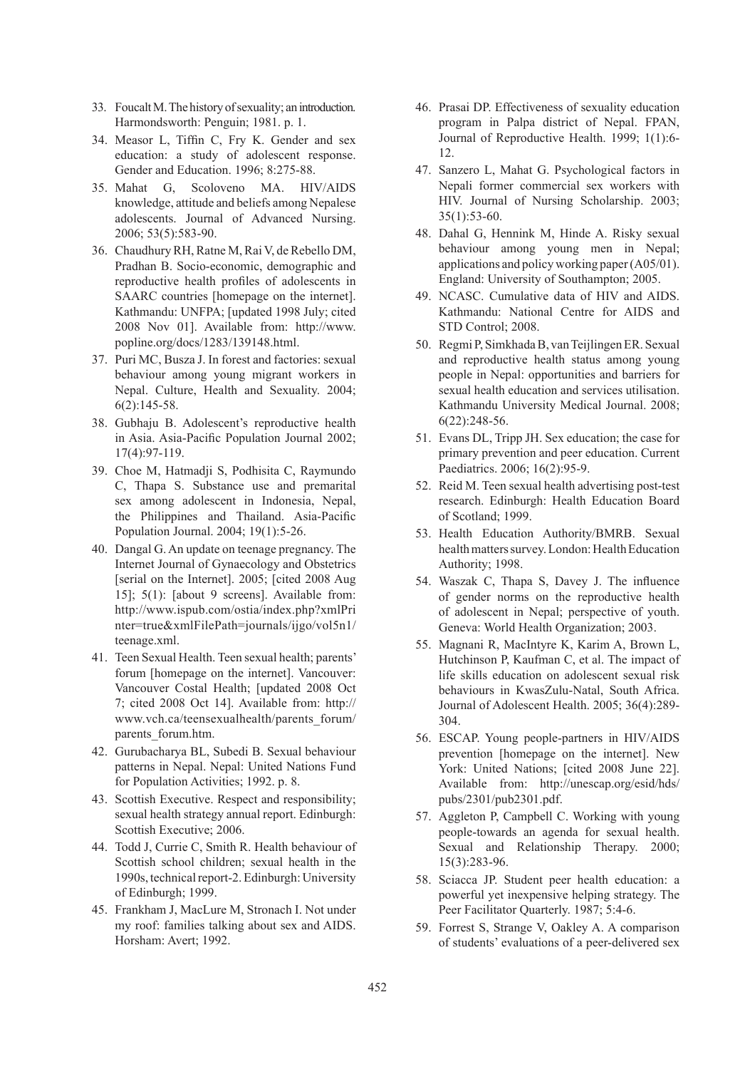- 33. Foucalt M. The history of sexuality; an introduction. Harmondsworth: Penguin; 1981. p. 1.
- 34. Measor L, Tiffin C, Fry K. Gender and sex education: a study of adolescent response. Gender and Education. 1996; 8:275-88.
- 35. Mahat G, Scoloveno MA. HIV/AIDS knowledge, attitude and beliefs among Nepalese adolescents. Journal of Advanced Nursing. 2006; 53(5):583-90.
- 36. Chaudhury RH, Ratne M, Rai V, de Rebello DM, Pradhan B. Socio-economic, demographic and reproductive health profiles of adolescents in SAARC countries [homepage on the internet]. Kathmandu: UNFPA; [updated 1998 July; cited 2008 Nov 01]. Available from: http://www. popline.org/docs/1283/139148.html.
- 37. Puri MC, Busza J. In forest and factories: sexual behaviour among young migrant workers in Nepal. Culture, Health and Sexuality. 2004; 6(2):145-58.
- 38. Gubhaju B. Adolescent's reproductive health in Asia. Asia-Pacific Population Journal 2002; 17(4):97-119.
- 39. Choe M, Hatmadji S, Podhisita C, Raymundo C, Thapa S. Substance use and premarital sex among adolescent in Indonesia, Nepal, the Philippines and Thailand. Asia-Pacific Population Journal. 2004; 19(1):5-26.
- 40. Dangal G. An update on teenage pregnancy. The Internet Journal of Gynaecology and Obstetrics [serial on the Internet]. 2005; [cited 2008 Aug 15]; 5(1): [about 9 screens]. Available from: http://www.ispub.com/ostia/index.php?xmlPri nter=true&xmlFilePath=journals/ijgo/vol5n1/ teenage.xml.
- 41. Teen Sexual Health. Teen sexual health; parents' forum [homepage on the internet]. Vancouver: Vancouver Costal Health; [updated 2008 Oct 7; cited 2008 Oct 14]. Available from: http:// www.vch.ca/teensexualhealth/parents\_forum/ parents\_forum.htm.
- 42. Gurubacharya BL, Subedi B. Sexual behaviour patterns in Nepal. Nepal: United Nations Fund for Population Activities; 1992. p. 8.
- 43. Scottish Executive. Respect and responsibility; sexual health strategy annual report. Edinburgh: Scottish Executive; 2006.
- 44. Todd J, Currie C, Smith R. Health behaviour of Scottish school children; sexual health in the 1990s, technical report-2. Edinburgh: University of Edinburgh; 1999.
- 45. Frankham J, MacLure M, Stronach I. Not under my roof: families talking about sex and AIDS. Horsham: Avert; 1992.
- 46. Prasai DP. Effectiveness of sexuality education program in Palpa district of Nepal. FPAN, Journal of Reproductive Health. 1999; 1(1):6- 12.
- 47. Sanzero L, Mahat G. Psychological factors in Nepali former commercial sex workers with HIV. Journal of Nursing Scholarship. 2003; 35(1):53-60.
- 48. Dahal G, Hennink M, Hinde A. Risky sexual behaviour among young men in Nepal; applications and policy working paper (A05/01). England: University of Southampton; 2005.
- 49. NCASC. Cumulative data of HIV and AIDS. Kathmandu: National Centre for AIDS and STD Control; 2008.
- 50. Regmi P, Simkhada B, van Teijlingen ER. Sexual and reproductive health status among young people in Nepal: opportunities and barriers for sexual health education and services utilisation. Kathmandu University Medical Journal. 2008; 6(22):248-56.
- 51. Evans DL, Tripp JH. Sex education; the case for primary prevention and peer education. Current Paediatrics. 2006; 16(2):95-9.
- 52. Reid M. Teen sexual health advertising post-test research. Edinburgh: Health Education Board of Scotland; 1999.
- 53. Health Education Authority/BMRB. Sexual health matters survey. London: Health Education Authority; 1998.
- 54. Waszak C, Thapa S, Davey J. The influence of gender norms on the reproductive health of adolescent in Nepal; perspective of youth. Geneva: World Health Organization; 2003.
- 55. Magnani R, MacIntyre K, Karim A, Brown L, Hutchinson P, Kaufman C, et al. The impact of life skills education on adolescent sexual risk behaviours in KwasZulu-Natal, South Africa. Journal of Adolescent Health. 2005; 36(4):289- 304.
- 56. ESCAP. Young people-partners in HIV/AIDS prevention [homepage on the internet]. New York: United Nations; [cited 2008 June 22]. Available from: http://unescap.org/esid/hds/ pubs/2301/pub2301.pdf.
- 57. Aggleton P, Campbell C. Working with young people-towards an agenda for sexual health. Sexual and Relationship Therapy. 2000; 15(3):283-96.
- 58. Sciacca JP. Student peer health education: a powerful yet inexpensive helping strategy. The Peer Facilitator Quarterly. 1987; 5:4-6.
- 59. Forrest S, Strange V, Oakley A. A comparison of students' evaluations of a peer-delivered sex